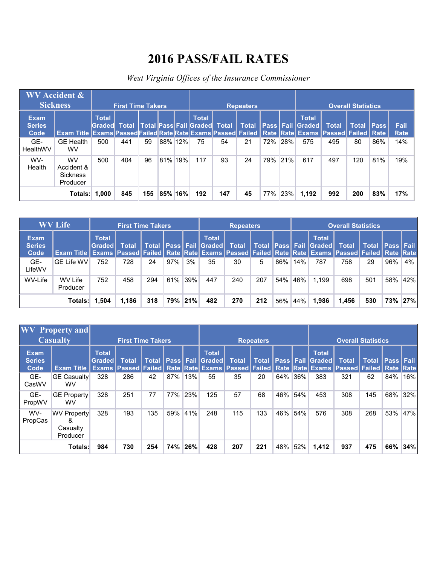## **2016 PASS/FAIL RATES**

## *West Virginia Offices of the Insurance Commissioner*

|                                      | $\overline{\text{WV}}$ Accident $\&$<br><b>Sickness</b>                                                            |                          | <b>First Time Takers</b> |     |         |     |                                                     |     | <b>Repeaters</b> |     |     |                                        |              | <b>Overall Statistics</b> |             |                     |
|--------------------------------------|--------------------------------------------------------------------------------------------------------------------|--------------------------|--------------------------|-----|---------|-----|-----------------------------------------------------|-----|------------------|-----|-----|----------------------------------------|--------------|---------------------------|-------------|---------------------|
| <b>Exam</b><br><b>Series</b><br>Code | Exam Title   Exams  Passed Failed Rate  Rate  Exams  Passed  Failed   Rate   Rate   Exams   Passed   Failed   Rate | <b>Total</b><br>Gradedl. | <b>Total</b>             |     |         |     | <b>Total</b><br><b>Total Pass Fail Graded Total</b> |     | <b>Total</b>     |     |     | <b>Total</b><br>  Pass   Fail   Graded | <b>Total</b> | <b>Total</b>              | <b>Pass</b> | Fail<br><b>Rate</b> |
| GE-<br>HealthWV                      | <b>GE Health</b><br><b>WV</b>                                                                                      | 500                      | 441                      | 59  | 88% 12% |     | 75                                                  | 54  | 21               | 72% | 28% | 575                                    | 495          | 80                        | 86%         | 14%                 |
| WV-<br>Health                        | <b>WV</b><br>Accident &<br><b>Sickness</b><br>Producer                                                             | 500                      | 404                      | 96  | 81%     | 19% | 117                                                 | 93  | 24               | 79% | 21% | 617                                    | 497          | 120                       | 81%         | 19%                 |
|                                      | Totals: 1,000                                                                                                      |                          | 845                      | 155 | 85% 16% |     | 192                                                 | 147 | 45               | 77% | 23% | 1,192                                  | 992          | 200                       | 83%         | 17%                 |

|                                      | <b>WV Life</b>             |                        | <b>First Time Takers</b> |       |     |     |                                    | <b>Repeaters</b> |              |     |     |                                     | <b>Overall Statistics</b>                                                                                                             |              |                  |     |
|--------------------------------------|----------------------------|------------------------|--------------------------|-------|-----|-----|------------------------------------|------------------|--------------|-----|-----|-------------------------------------|---------------------------------------------------------------------------------------------------------------------------------------|--------------|------------------|-----|
| <b>Exam</b><br><b>Series</b><br>Code | <b>Exam Title I</b>        | <b>Total</b><br>Graded | <b>Total</b>             | Total |     |     | <b>Total</b><br>  Pass Fail Graded | <b>Total</b>     | <b>Total</b> |     |     | <b>Total</b><br> Pass  Fail  Graded | <b>Total</b><br>Exams   Passed   Failed   Rate   Rate   Exams   Passed   Failed   Rate   Rate   Exams   Passed   Failed   Rate   Rate | <b>Total</b> | <b>Pass Fail</b> |     |
| GE-<br>LifeWV                        | <b>GE Life WV</b>          | 752                    | 728                      | 24    | 97% | 3%  | 35                                 | 30               | 5            | 86% | 14% | 787                                 | 758                                                                                                                                   | 29           | 96%              | 4%  |
| WV-Life                              | <b>WV Life</b><br>Producer | 752                    | 458                      | 294   | 61% | 39% | 447                                | 240              | 207          | 54% | 46% | 1.199                               | 698                                                                                                                                   | 501          | 58%              | 42% |
|                                      | Totals:                    |                        | 1.186                    | 318   | 79% | 21% | 482                                | 270              | 212          | 56% | 44% | 1.986                               | 1,456                                                                                                                                 | 530          | 73%              | 27% |

|                                      | <b>WV</b> Property and                          |                                          |                          |              |     |     |                                                                                                                                                      |              |                  |     |     |                                        |                           |              |             |          |
|--------------------------------------|-------------------------------------------------|------------------------------------------|--------------------------|--------------|-----|-----|------------------------------------------------------------------------------------------------------------------------------------------------------|--------------|------------------|-----|-----|----------------------------------------|---------------------------|--------------|-------------|----------|
|                                      | <b>Casualty</b>                                 |                                          | <b>First Time Takers</b> |              |     |     |                                                                                                                                                      |              | <b>Repeaters</b> |     |     |                                        | <b>Overall Statistics</b> |              |             |          |
| <b>Exam</b><br><b>Series</b><br>Code | <b>Exam Title</b>                               | <b>Total</b><br><b>Graded</b><br>Exams I | <b>Total</b>             | <b>Total</b> |     |     | <b>Total</b><br><b>Pass Fail Graded</b><br>Passed Failed   Rate   Rate Exams   Passed   Failed   Rate   Rate   Exams   Passed   Failed   Rate   Rate | <b>Total</b> | <b>Total</b>     |     |     | <b>Total</b><br>  Pass   Fail   Graded | <b>Total</b>              | <b>Total</b> | <b>Pass</b> | l Fail i |
| GE-<br>CasWV                         | <b>GE Casualty</b><br><b>WV</b>                 | 328                                      | 286                      | 42           | 87% | 13% | 55                                                                                                                                                   | 35           | 20               | 64% | 36% | 383                                    | 321                       | 62           | 84%         | 16%      |
| GE-<br>PropWV                        | GE Property<br>WV                               | 328                                      | 251                      | 77           | 77% | 23% | 125                                                                                                                                                  | 57           | 68               | 46% | 54% | 453                                    | 308                       | 145          | 68%         | 32%      |
| WV-<br>PropCas                       | <b>WV Property</b><br>ጼ<br>Casualty<br>Producer | 328                                      | 193                      | 135          | 59% | 41% | 248                                                                                                                                                  | 115          | 133              | 46% | 54% | 576                                    | 308                       | 268          | 53%         | 47%      |
|                                      | Totals:                                         | 984                                      | 730                      | 254          | 74% | 26% | 428                                                                                                                                                  | 207          | 221              | 48% | 52% | 1,412                                  | 937                       | 475          | 66%         | 34%      |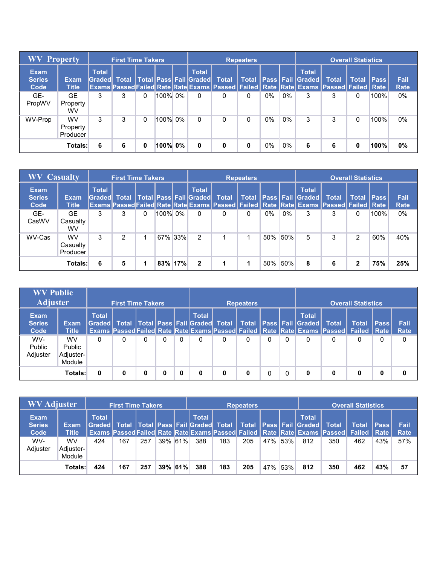| <b>WV Property</b>                   |                                   |              | <b>First Time Takers</b> |   |         |                                                     |                                                                                                      | <b>Repeaters</b> |       |       |                                              |              | <b>Overall Statistics</b> |             |                     |
|--------------------------------------|-----------------------------------|--------------|--------------------------|---|---------|-----------------------------------------------------|------------------------------------------------------------------------------------------------------|------------------|-------|-------|----------------------------------------------|--------------|---------------------------|-------------|---------------------|
| <b>Exam</b><br><b>Series</b><br>Code | <b>Exam</b><br><b>Title</b>       | <b>Total</b> |                          |   |         | <b>Total</b><br>Graded Total Total Pass Fail Graded | <b>Total</b><br>Exams Passed Failed Rate Rate Exams Passed Failed Rate Rate Exams Passed Failed Rate |                  |       |       | <b>Total</b><br>Total   Pass   Fail   Graded | <b>Total</b> | Total                     | <b>Pass</b> | Fail<br><b>Rate</b> |
| GE-<br>PropWV                        | GE.<br>Property<br>wv             | 3            | 3                        | 0 | 100% 0% | 0                                                   | 0                                                                                                    | 0                | $0\%$ | $0\%$ | 3                                            | 3            | 0                         | 100%        | $0\%$               |
| WV-Prop                              | <b>WV</b><br>Property<br>Producer | 3            | 3                        | 0 | 100% 0% | 0                                                   | 0                                                                                                    | 0                | $0\%$ | $0\%$ | 3                                            | 3            | 0                         | 100%        | $0\%$               |
|                                      | <b>Totals:</b>                    | 6            | 6                        | 0 | 100% 0% | 0                                                   | 0                                                                                                    | 0                | $0\%$ | $0\%$ | 6                                            | 6            | 0                         | 100%        | 0%                  |

| <b>WV Casualty</b>                   |                                   |              | <b>First Time Takers</b> |   |         |                                                            |                                                                                                                    | <b>Repeaters</b> |     |       |                                                      |   | <b>Overall Statistics</b> |              |                     |
|--------------------------------------|-----------------------------------|--------------|--------------------------|---|---------|------------------------------------------------------------|--------------------------------------------------------------------------------------------------------------------|------------------|-----|-------|------------------------------------------------------|---|---------------------------|--------------|---------------------|
| <b>Exam</b><br><b>Series</b><br>Code | <b>Exam</b><br><b>Title</b>       | <b>Total</b> |                          |   |         | <b>Total</b><br><b>Graded Total Total Pass Fail Graded</b> | <b>Total</b><br>Exams Passed Failed Rate Rate Exams   Passed   Failed   Rate   Rate Exams   Passed   Failed   Rate |                  |     |       | <b>Total</b><br>Total   Pass   Fail   Graded   Total |   |                           | Total   Pass | Fail<br><b>Rate</b> |
| GE-<br>CasWV                         | GE.<br>Casualty<br><b>WV</b>      | 3            | 3                        | 0 | 100% 0% | 0                                                          | 0                                                                                                                  | 0                | 0%  | $0\%$ | 3                                                    | 3 | 0                         | 100%         | 0%                  |
| WV-Cas                               | <b>WV</b><br>Casualty<br>Producer | 3            | 2                        |   | 67% 33% | 2                                                          |                                                                                                                    |                  | 50% | 50%   | 5                                                    | 3 | $\overline{2}$            | 60%          | 40%                 |
|                                      | <b>Totals:</b>                    | 6            | 5                        |   | 83% 17% | $\mathbf{2}$                                               |                                                                                                                    |                  | 50% | 50%   | 8                                                    | 6 | 2                         | 75%          | 25%                 |

| <b>WV Public</b><br><b>Adjuster</b>  |                                            |                        | <b>First Time Takers</b> |   |   |                                                        |   | <b>Repeaters</b> |   |   |                                                |                                                                                                   | <b>Overall Statistics</b> |      |                     |
|--------------------------------------|--------------------------------------------|------------------------|--------------------------|---|---|--------------------------------------------------------|---|------------------|---|---|------------------------------------------------|---------------------------------------------------------------------------------------------------|---------------------------|------|---------------------|
| <b>Exam</b><br><b>Series</b><br>Code | <b>Exam</b><br><b>Title</b>                | <b>Total</b><br>Graded | <b>Total</b>             |   |   | <b>Total</b><br>  Total   Pass   Fail   Graded   Total |   |                  |   |   | <b>Total</b><br>  Total Pass Fail Graded Total | <b>Exams Passed Failed Rate Rate Exams Passed Failed   Rate Rate Exams Passed   Failed   Rate</b> | <b>Total</b>              | Pass | Fail<br><b>Rate</b> |
| WV-<br>Public<br>Adjuster            | <b>WV</b><br>Public<br>Adjuster-<br>Module | 0                      | 0                        |   | 0 | 0                                                      | 0 |                  | 0 | 0 | 0                                              |                                                                                                   |                           | 0    | 0                   |
| Totals:                              |                                            |                        | 0                        | 0 | 0 | 0                                                      | 0 | 0                |   | 0 | 0                                              | 0                                                                                                 | 0                         | 0    | 0                   |

| <b>WV Adjuster</b>                   |                             |                        | <b>First Time Takers</b> |     |         |                                                        |     | Repeaters |     |     |                                                      |                                                                                 | <b>Overall Statistics</b>       |              |              |
|--------------------------------------|-----------------------------|------------------------|--------------------------|-----|---------|--------------------------------------------------------|-----|-----------|-----|-----|------------------------------------------------------|---------------------------------------------------------------------------------|---------------------------------|--------------|--------------|
| <b>Exam</b><br><b>Series</b><br>Code | <b>Exam</b><br><b>Title</b> | <b>Total</b><br>Graded | <b>Total</b>             |     |         | <b>Total</b><br>  Total   Pass   Fail   Graded   Total |     |           |     |     | <b>Total</b><br>Total   Pass   Fail   Graded   Total | <b>Exams Passed Failed Rate Rate Exams Passed Failed Rate Rate Exams Passed</b> | <b>Total</b><br><b>Failed</b> I | Pass<br>Rate | Fail<br>Rate |
| WV-<br>Adjuster                      | WV<br>Adjuster-<br>Module   | 424                    | 167                      | 257 | 39% 61% | 388                                                    | 183 | 205       | 47% | 53% | 812                                                  | 350                                                                             | 462                             | 43%          | 57%          |
| Totals:                              |                             | 424                    | 167                      | 257 | 39% 61% | 388                                                    | 183 | 205       | 47% | 53% | 812                                                  | 350                                                                             | 462                             | 43%          | 57           |